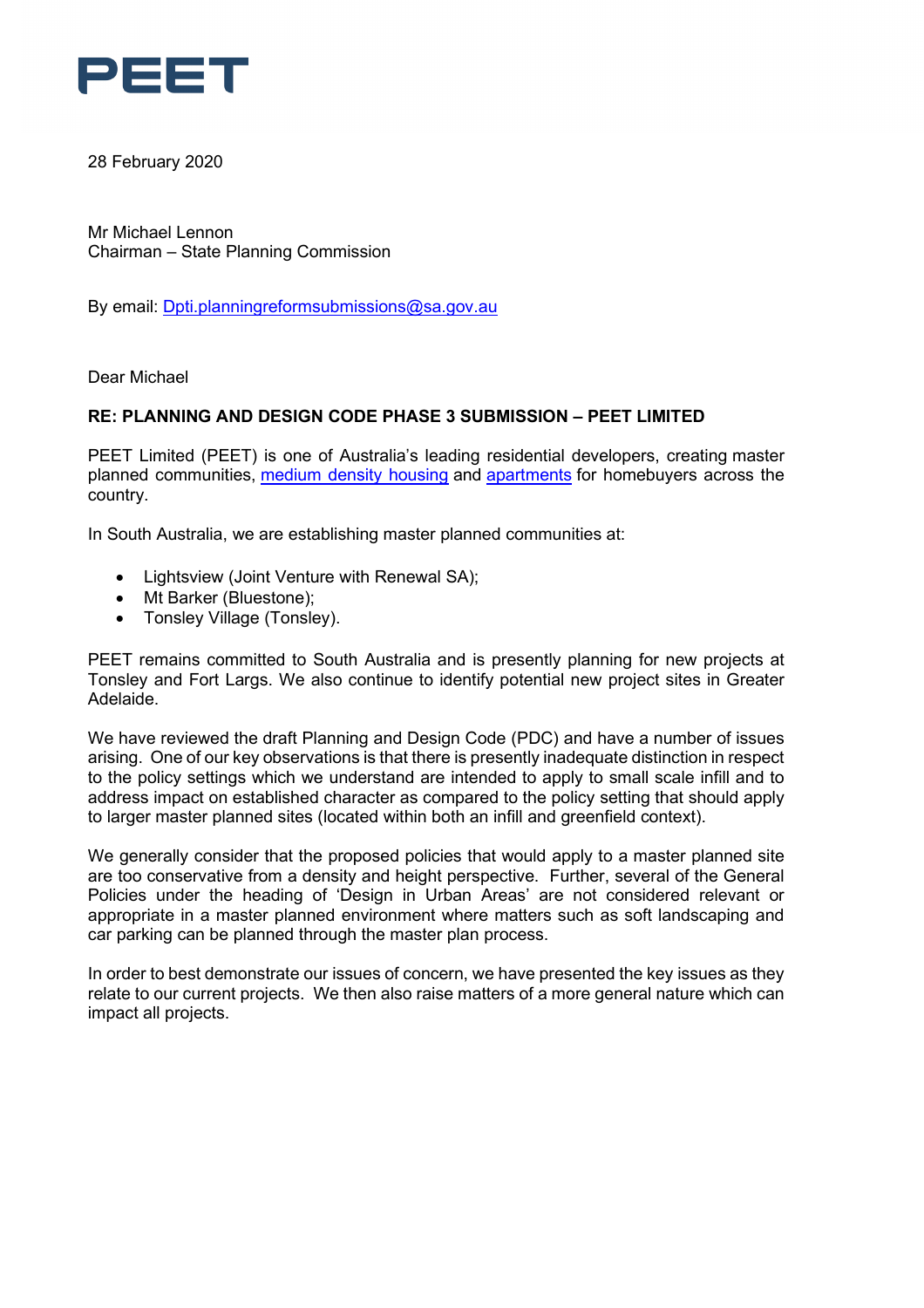

28 February 2020

Mr Michael Lennon Chairman – State Planning Commission

By email: [Dpti.planningreformsubmissions@sa.gov.au](mailto:Dpti.planningreformsubmissions@sa.gov.au)

Dear Michael

## **RE: PLANNING AND DESIGN CODE PHASE 3 SUBMISSION – PEET LIMITED**

PEET Limited (PEET) is one of Australia's leading residential developers, creating master planned communities, [medium density housing](https://www.peet.com.au/living-choices/townhomes) and [apartments](https://www.peet.com.au/living-choices/apartments) for homebuyers across the country.

In South Australia, we are establishing master planned communities at:

- Lightsview (Joint Venture with Renewal SA);
- Mt Barker (Bluestone);
- Tonsley Village (Tonsley).

PEET remains committed to South Australia and is presently planning for new projects at Tonsley and Fort Largs. We also continue to identify potential new project sites in Greater Adelaide.

We have reviewed the draft Planning and Design Code (PDC) and have a number of issues arising. One of our key observations is that there is presently inadequate distinction in respect to the policy settings which we understand are intended to apply to small scale infill and to address impact on established character as compared to the policy setting that should apply to larger master planned sites (located within both an infill and greenfield context).

We generally consider that the proposed policies that would apply to a master planned site are too conservative from a density and height perspective. Further, several of the General Policies under the heading of 'Design in Urban Areas' are not considered relevant or appropriate in a master planned environment where matters such as soft landscaping and car parking can be planned through the master plan process.

In order to best demonstrate our issues of concern, we have presented the key issues as they relate to our current projects. We then also raise matters of a more general nature which can impact all projects.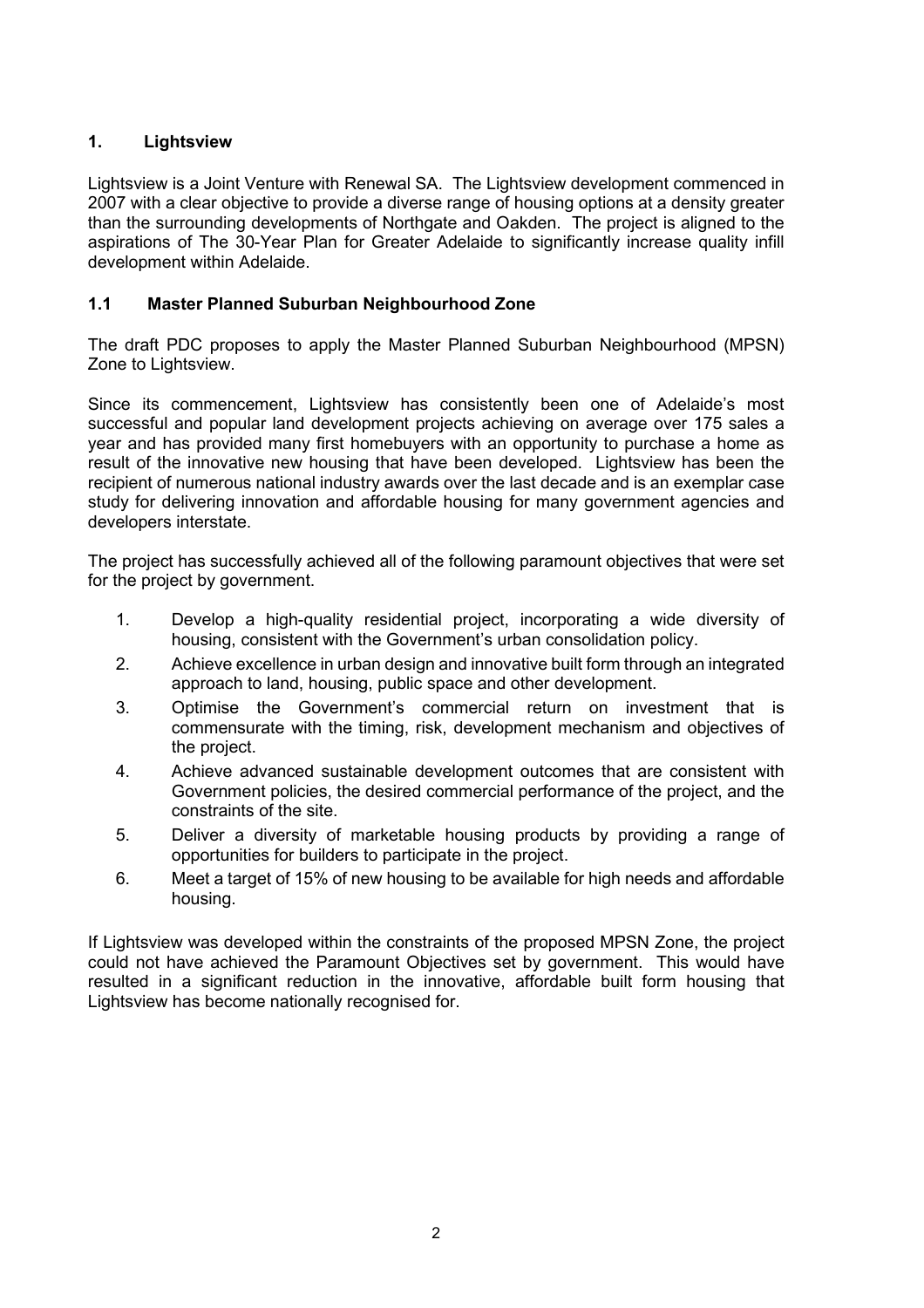# **1. Lightsview**

Lightsview is a Joint Venture with Renewal SA. The Lightsview development commenced in 2007 with a clear objective to provide a diverse range of housing options at a density greater than the surrounding developments of Northgate and Oakden. The project is aligned to the aspirations of The 30-Year Plan for Greater Adelaide to significantly increase quality infill development within Adelaide.

# **1.1 Master Planned Suburban Neighbourhood Zone**

The draft PDC proposes to apply the Master Planned Suburban Neighbourhood (MPSN) Zone to Lightsview.

Since its commencement, Lightsview has consistently been one of Adelaide's most successful and popular land development projects achieving on average over 175 sales a year and has provided many first homebuyers with an opportunity to purchase a home as result of the innovative new housing that have been developed. Lightsview has been the recipient of numerous national industry awards over the last decade and is an exemplar case study for delivering innovation and affordable housing for many government agencies and developers interstate.

The project has successfully achieved all of the following paramount objectives that were set for the project by government.

- 1. Develop a high-quality residential project, incorporating a wide diversity of housing, consistent with the Government's urban consolidation policy.
- 2. Achieve excellence in urban design and innovative built form through an integrated approach to land, housing, public space and other development.
- 3. Optimise the Government's commercial return on investment that is commensurate with the timing, risk, development mechanism and objectives of the project.
- 4. Achieve advanced sustainable development outcomes that are consistent with Government policies, the desired commercial performance of the project, and the constraints of the site.
- 5. Deliver a diversity of marketable housing products by providing a range of opportunities for builders to participate in the project.
- 6. Meet a target of 15% of new housing to be available for high needs and affordable housing.

If Lightsview was developed within the constraints of the proposed MPSN Zone, the project could not have achieved the Paramount Objectives set by government. This would have resulted in a significant reduction in the innovative, affordable built form housing that Lightsview has become nationally recognised for.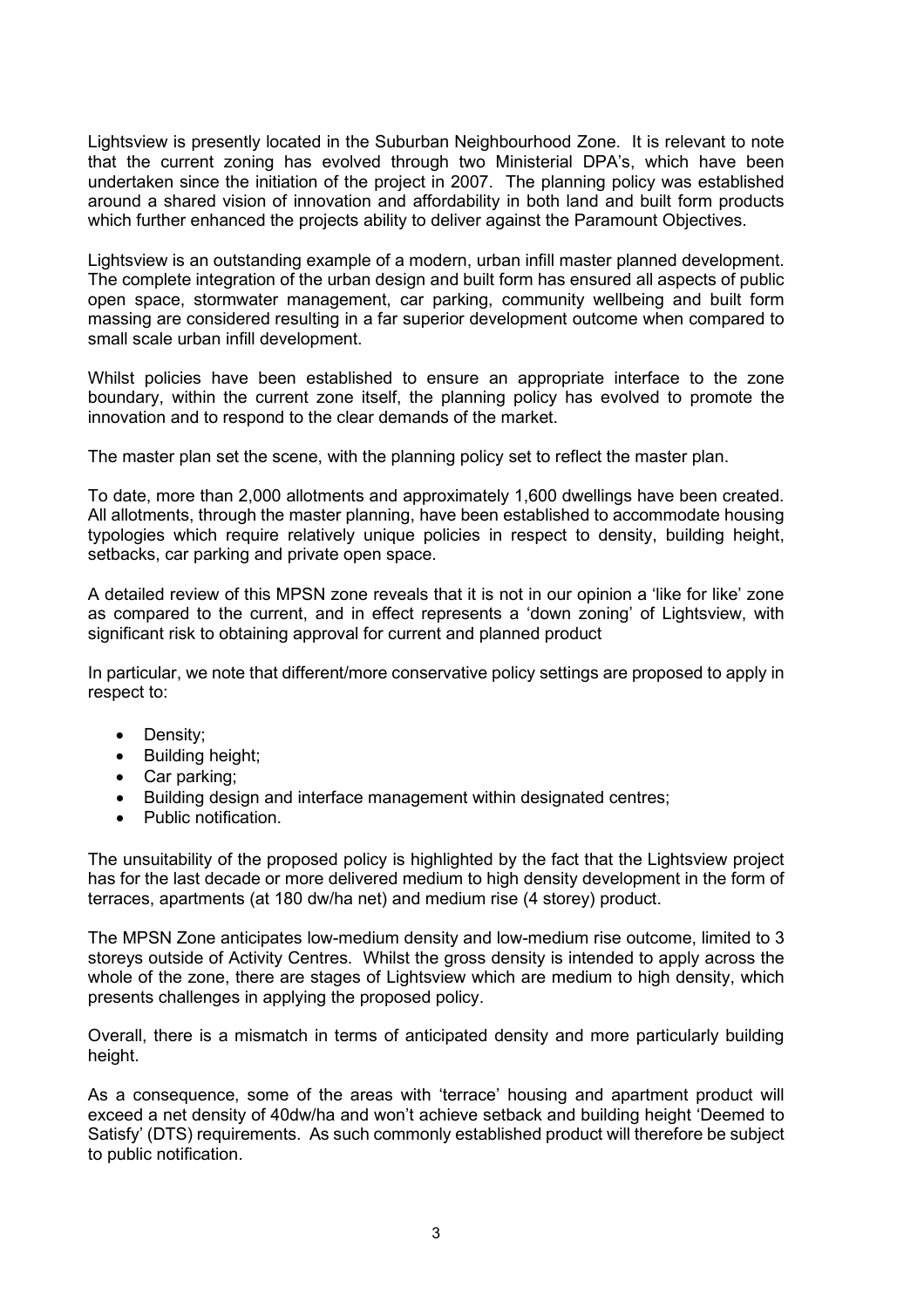Lightsview is presently located in the Suburban Neighbourhood Zone. It is relevant to note that the current zoning has evolved through two Ministerial DPA's, which have been undertaken since the initiation of the project in 2007. The planning policy was established around a shared vision of innovation and affordability in both land and built form products which further enhanced the projects ability to deliver against the Paramount Objectives.

Lightsview is an outstanding example of a modern, urban infill master planned development. The complete integration of the urban design and built form has ensured all aspects of public open space, stormwater management, car parking, community wellbeing and built form massing are considered resulting in a far superior development outcome when compared to small scale urban infill development.

Whilst policies have been established to ensure an appropriate interface to the zone boundary, within the current zone itself, the planning policy has evolved to promote the innovation and to respond to the clear demands of the market.

The master plan set the scene, with the planning policy set to reflect the master plan.

To date, more than 2,000 allotments and approximately 1,600 dwellings have been created. All allotments, through the master planning, have been established to accommodate housing typologies which require relatively unique policies in respect to density, building height, setbacks, car parking and private open space.

A detailed review of this MPSN zone reveals that it is not in our opinion a 'like for like' zone as compared to the current, and in effect represents a 'down zoning' of Lightsview, with significant risk to obtaining approval for current and planned product

In particular, we note that different/more conservative policy settings are proposed to apply in respect to:

- Density;
- Building height;
- Car parking;
- Building design and interface management within designated centres;
- Public notification.

The unsuitability of the proposed policy is highlighted by the fact that the Lightsview project has for the last decade or more delivered medium to high density development in the form of terraces, apartments (at 180 dw/ha net) and medium rise (4 storey) product.

The MPSN Zone anticipates low-medium density and low-medium rise outcome, limited to 3 storeys outside of Activity Centres. Whilst the gross density is intended to apply across the whole of the zone, there are stages of Lightsview which are medium to high density, which presents challenges in applying the proposed policy.

Overall, there is a mismatch in terms of anticipated density and more particularly building height.

As a consequence, some of the areas with 'terrace' housing and apartment product will exceed a net density of 40dw/ha and won't achieve setback and building height 'Deemed to Satisfy' (DTS) requirements. As such commonly established product will therefore be subject to public notification.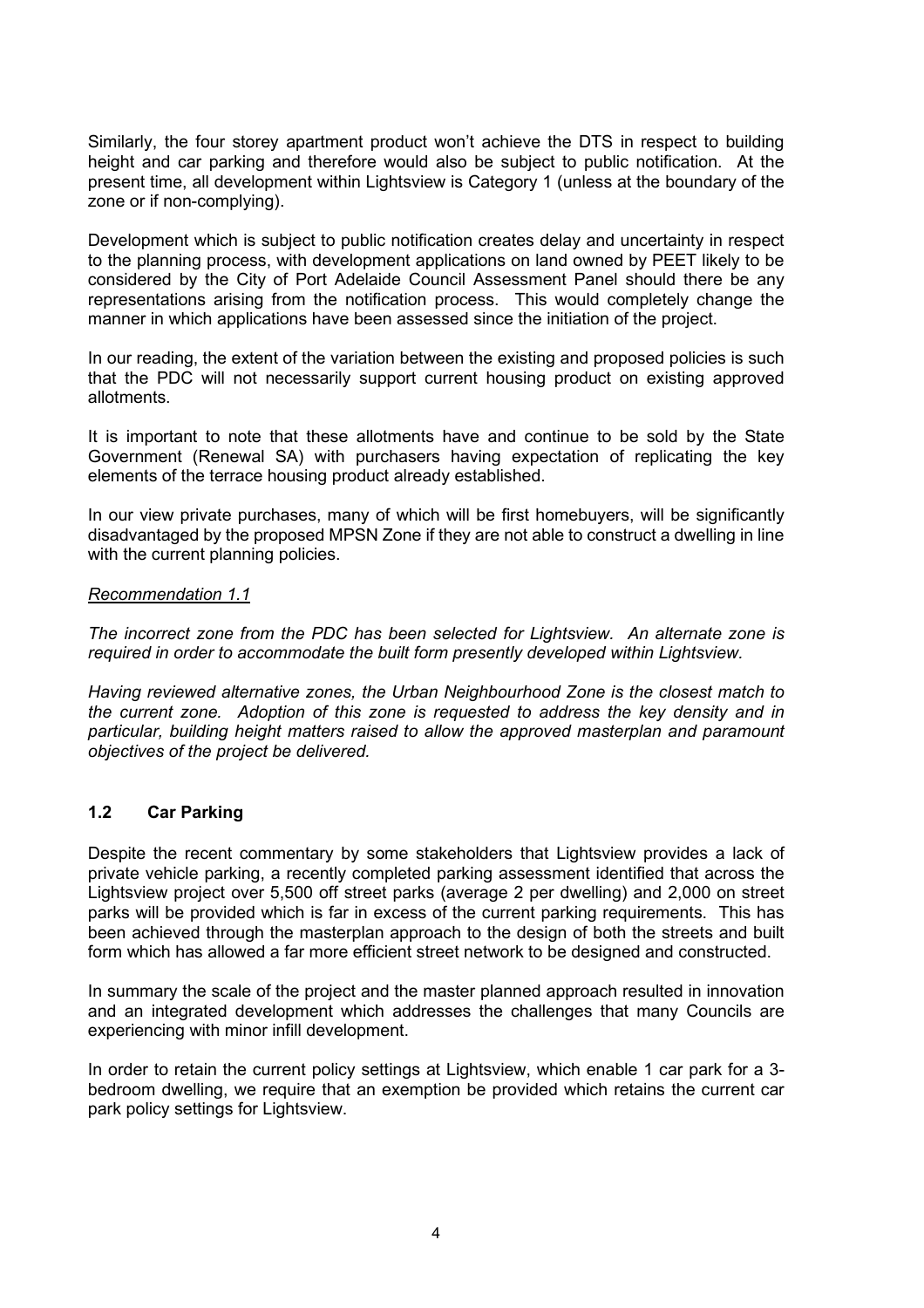Similarly, the four storey apartment product won't achieve the DTS in respect to building height and car parking and therefore would also be subject to public notification. At the present time, all development within Lightsview is Category 1 (unless at the boundary of the zone or if non-complying).

Development which is subject to public notification creates delay and uncertainty in respect to the planning process, with development applications on land owned by PEET likely to be considered by the City of Port Adelaide Council Assessment Panel should there be any representations arising from the notification process. This would completely change the manner in which applications have been assessed since the initiation of the project.

In our reading, the extent of the variation between the existing and proposed policies is such that the PDC will not necessarily support current housing product on existing approved allotments.

It is important to note that these allotments have and continue to be sold by the State Government (Renewal SA) with purchasers having expectation of replicating the key elements of the terrace housing product already established.

In our view private purchases, many of which will be first homebuyers, will be significantly disadvantaged by the proposed MPSN Zone if they are not able to construct a dwelling in line with the current planning policies.

#### *Recommendation 1.1*

*The incorrect zone from the PDC has been selected for Lightsview. An alternate zone is required in order to accommodate the built form presently developed within Lightsview.*

*Having reviewed alternative zones, the Urban Neighbourhood Zone is the closest match to the current zone. Adoption of this zone is requested to address the key density and in particular, building height matters raised to allow the approved masterplan and paramount objectives of the project be delivered.*

### **1.2 Car Parking**

Despite the recent commentary by some stakeholders that Lightsview provides a lack of private vehicle parking, a recently completed parking assessment identified that across the Lightsview project over 5,500 off street parks (average 2 per dwelling) and 2,000 on street parks will be provided which is far in excess of the current parking requirements. This has been achieved through the masterplan approach to the design of both the streets and built form which has allowed a far more efficient street network to be designed and constructed.

In summary the scale of the project and the master planned approach resulted in innovation and an integrated development which addresses the challenges that many Councils are experiencing with minor infill development.

In order to retain the current policy settings at Lightsview, which enable 1 car park for a 3 bedroom dwelling, we require that an exemption be provided which retains the current car park policy settings for Lightsview.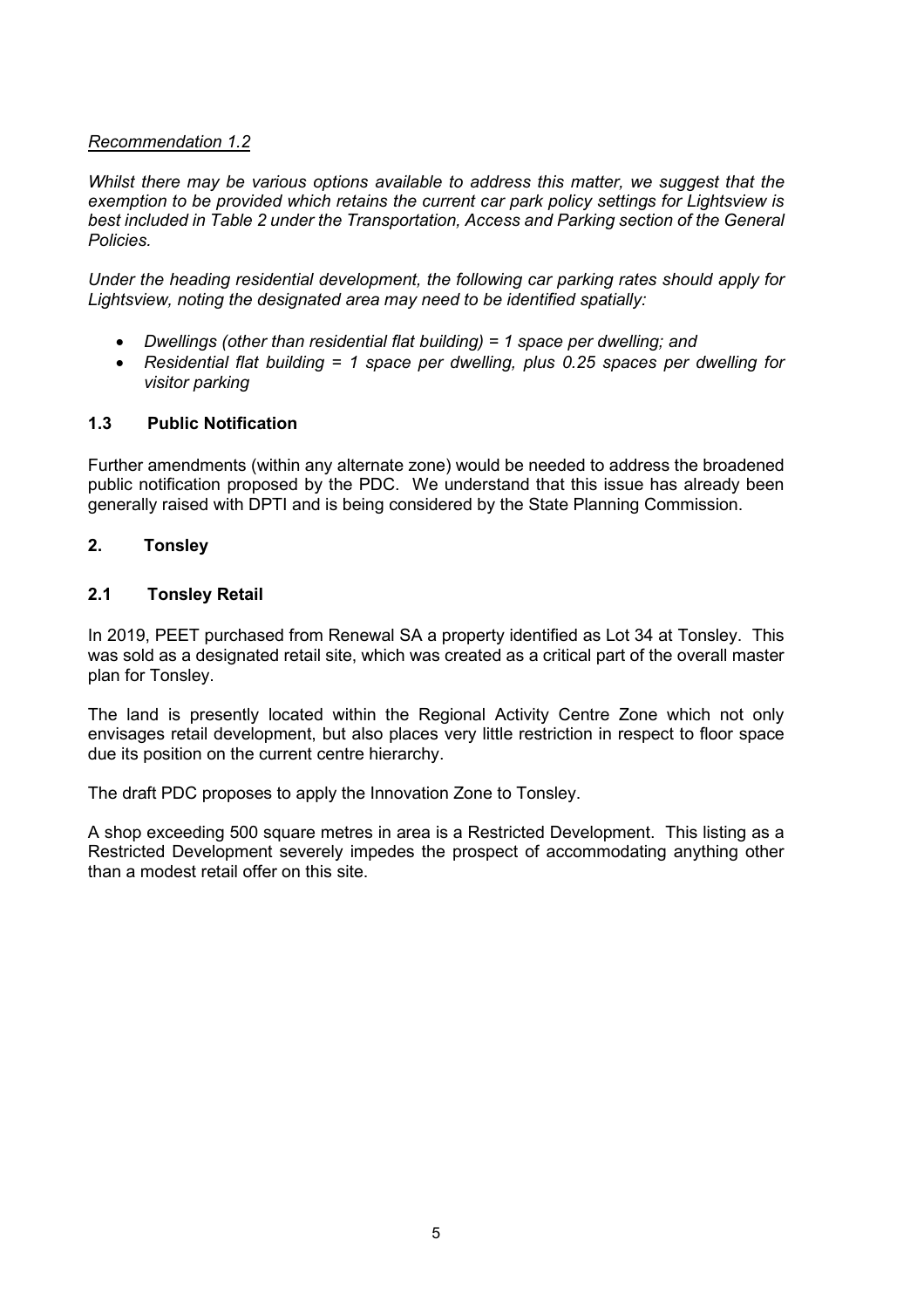# *Recommendation 1.2*

*Whilst there may be various options available to address this matter, we suggest that the exemption to be provided which retains the current car park policy settings for Lightsview is best included in Table 2 under the Transportation, Access and Parking section of the General Policies.*

*Under the heading residential development, the following car parking rates should apply for Lightsview, noting the designated area may need to be identified spatially:*

- *Dwellings (other than residential flat building) = 1 space per dwelling; and*
- *Residential flat building = 1 space per dwelling, plus 0.25 spaces per dwelling for visitor parking*

### **1.3 Public Notification**

Further amendments (within any alternate zone) would be needed to address the broadened public notification proposed by the PDC. We understand that this issue has already been generally raised with DPTI and is being considered by the State Planning Commission.

### **2. Tonsley**

### **2.1 Tonsley Retail**

In 2019, PEET purchased from Renewal SA a property identified as Lot 34 at Tonsley. This was sold as a designated retail site, which was created as a critical part of the overall master plan for Tonsley.

The land is presently located within the Regional Activity Centre Zone which not only envisages retail development, but also places very little restriction in respect to floor space due its position on the current centre hierarchy.

The draft PDC proposes to apply the Innovation Zone to Tonsley.

A shop exceeding 500 square metres in area is a Restricted Development. This listing as a Restricted Development severely impedes the prospect of accommodating anything other than a modest retail offer on this site.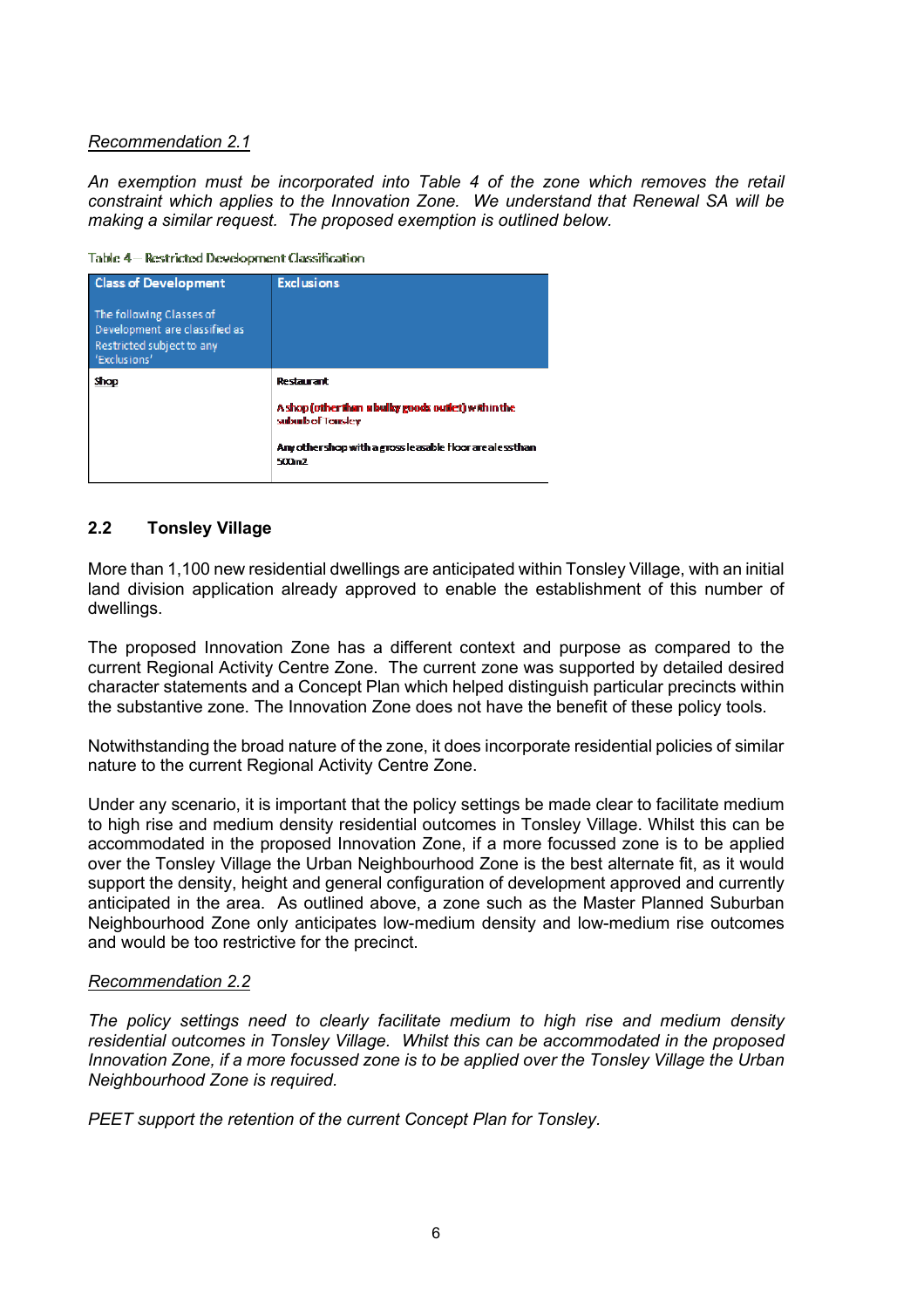## *Recommendation 2.1*

*An exemption must be incorporated into Table 4 of the zone which removes the retail constraint which applies to the Innovation Zone. We understand that Renewal SA will be making a similar request. The proposed exemption is outlined below.*

Table 4- Restricted Development Classification

| <b>Class of Development</b><br>The following Classes of<br>Development are classified as<br>Restricted subject to any<br>'Exclusions' | <b>Exclusions</b>                                                                                                                                                         |
|---------------------------------------------------------------------------------------------------------------------------------------|---------------------------------------------------------------------------------------------------------------------------------------------------------------------------|
| Shop                                                                                                                                  | Restauranti<br>A shop (other than a bulky goods outlet) within the<br>suburb of Tonsley<br>Any other shop with a gross leasable floor are aless than<br>500m <sub>2</sub> |

# **2.2 Tonsley Village**

More than 1,100 new residential dwellings are anticipated within Tonsley Village, with an initial land division application already approved to enable the establishment of this number of dwellings.

The proposed Innovation Zone has a different context and purpose as compared to the current Regional Activity Centre Zone. The current zone was supported by detailed desired character statements and a Concept Plan which helped distinguish particular precincts within the substantive zone. The Innovation Zone does not have the benefit of these policy tools.

Notwithstanding the broad nature of the zone, it does incorporate residential policies of similar nature to the current Regional Activity Centre Zone.

Under any scenario, it is important that the policy settings be made clear to facilitate medium to high rise and medium density residential outcomes in Tonsley Village. Whilst this can be accommodated in the proposed Innovation Zone, if a more focussed zone is to be applied over the Tonsley Village the Urban Neighbourhood Zone is the best alternate fit, as it would support the density, height and general configuration of development approved and currently anticipated in the area. As outlined above, a zone such as the Master Planned Suburban Neighbourhood Zone only anticipates low-medium density and low-medium rise outcomes and would be too restrictive for the precinct.

### *Recommendation 2.2*

*The policy settings need to clearly facilitate medium to high rise and medium density residential outcomes in Tonsley Village. Whilst this can be accommodated in the proposed Innovation Zone, if a more focussed zone is to be applied over the Tonsley Village the Urban Neighbourhood Zone is required.* 

*PEET support the retention of the current Concept Plan for Tonsley.*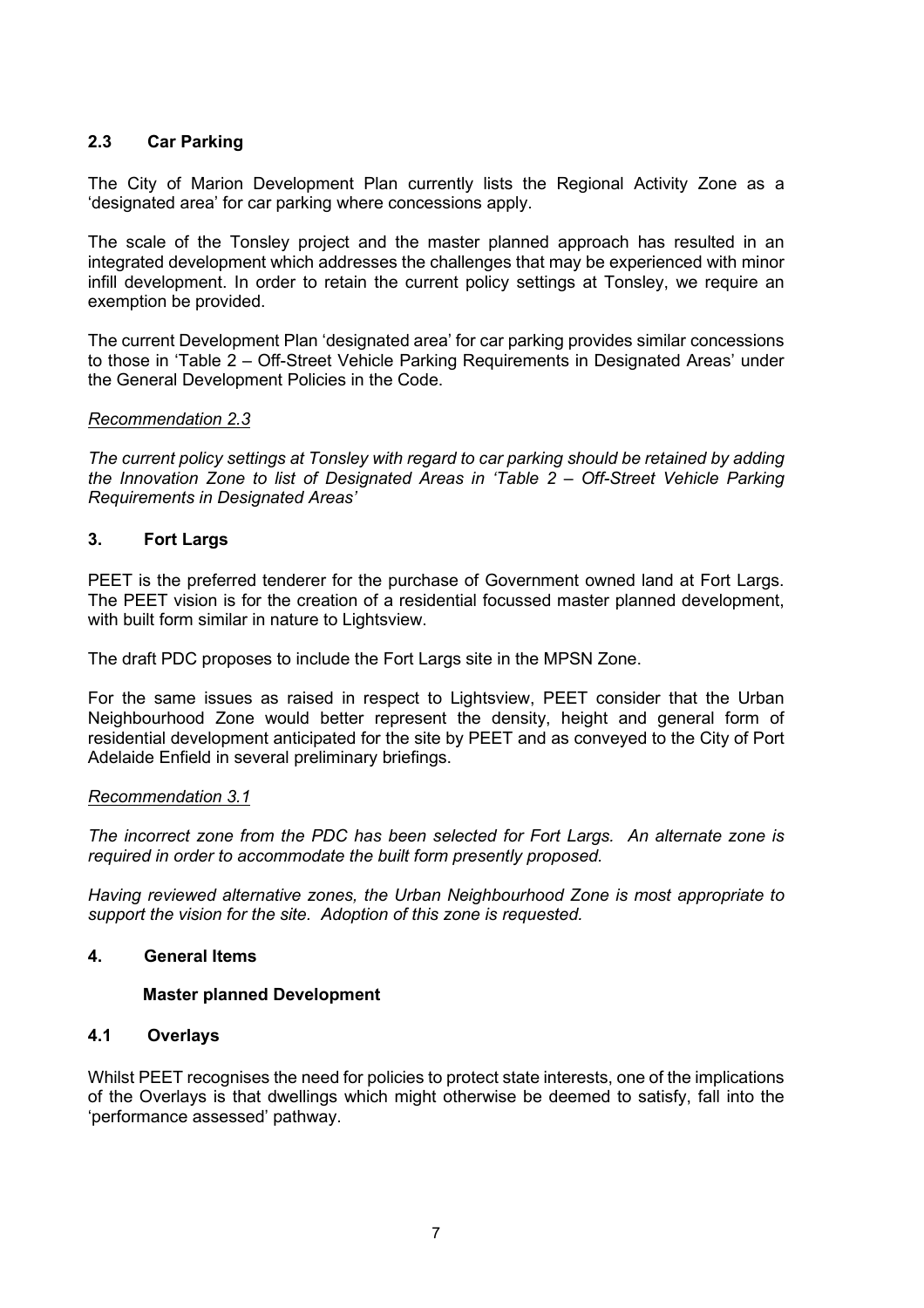# **2.3 Car Parking**

The City of Marion Development Plan currently lists the Regional Activity Zone as a 'designated area' for car parking where concessions apply.

The scale of the Tonsley project and the master planned approach has resulted in an integrated development which addresses the challenges that may be experienced with minor infill development. In order to retain the current policy settings at Tonsley, we require an exemption be provided.

The current Development Plan 'designated area' for car parking provides similar concessions to those in 'Table 2 – Off-Street Vehicle Parking Requirements in Designated Areas' under the General Development Policies in the Code.

### *Recommendation 2.3*

*The current policy settings at Tonsley with regard to car parking should be retained by adding the Innovation Zone to list of Designated Areas in 'Table 2 – Off-Street Vehicle Parking Requirements in Designated Areas'*

## **3. Fort Largs**

PEET is the preferred tenderer for the purchase of Government owned land at Fort Largs. The PEET vision is for the creation of a residential focussed master planned development, with built form similar in nature to Lightsview.

The draft PDC proposes to include the Fort Largs site in the MPSN Zone.

For the same issues as raised in respect to Lightsview, PEET consider that the Urban Neighbourhood Zone would better represent the density, height and general form of residential development anticipated for the site by PEET and as conveyed to the City of Port Adelaide Enfield in several preliminary briefings.

#### *Recommendation 3.1*

*The incorrect zone from the PDC has been selected for Fort Largs. An alternate zone is required in order to accommodate the built form presently proposed.*

*Having reviewed alternative zones, the Urban Neighbourhood Zone is most appropriate to support the vision for the site. Adoption of this zone is requested.*

#### **4. General Items**

### **Master planned Development**

### **4.1 Overlays**

Whilst PEET recognises the need for policies to protect state interests, one of the implications of the Overlays is that dwellings which might otherwise be deemed to satisfy, fall into the 'performance assessed' pathway.